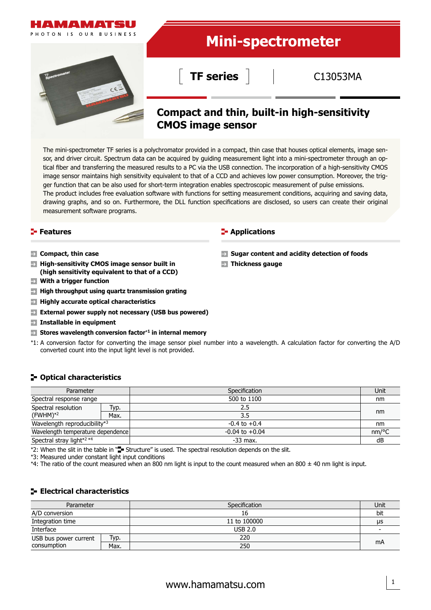

The mini-spectrometer TF series is a polychromator provided in a compact, thin case that houses optical elements, image sensor, and driver circuit. Spectrum data can be acquired by guiding measurement light into a mini-spectrometer through an optical fiber and transferring the measured results to a PC via the USB connection. The incorporation of a high-sensitivity CMOS image sensor maintains high sensitivity equivalent to that of a CCD and achieves low power consumption. Moreover, the trigger function that can be also used for short-term integration enables spectroscopic measurement of pulse emissions. The product includes free evaluation software with functions for setting measurement conditions, acquiring and saving data, drawing graphs, and so on. Furthermore, the DLL function specifications are disclosed, so users can create their original measurement software programs.

- **Compact, thin case**
- **High-sensitivity CMOS image sensor built in (high sensitivity equivalent to that of a CCD)**
- $\rightarrow$ **With a trigger function**
- **High throughput using quartz transmission grating**
- **Highly accurate optical characteristics**
- **External power supply not necessary (USB bus powered)**
- **Installable in equipment**
- **Stores wavelength conversion factor**\***1 in internal memory**
- \*1: A conversion factor for converting the image sensor pixel number into a wavelength. A calculation factor for converting the A/D converted count into the input light level is not provided.

## **Optical characteristics**

| Parameter                         |      | Specification      | Unit  |
|-----------------------------------|------|--------------------|-------|
| Spectral response range           |      | 500 to 1100        | nm    |
| Spectral resolution               | Typ. | 2.5                |       |
| $(FWHM)*2$                        | Max. | 3.5                | nm    |
| Wavelength reproducibility*3      |      | $-0.4$ to $+0.4$   | nm    |
| Wavelength temperature dependence |      | $-0.04$ to $+0.04$ | nm/°C |
| Spectral stray light*2 *4         |      | $-33$ max.         | dB    |

\*2: When the slit in the table in " $\blacksquare$  Structure" is used. The spectral resolution depends on the slit.

\*3: Measured under constant light input conditions

\*4: The ratio of the count measured when an 800 nm light is input to the count measured when an 800  $\pm$  40 nm light is input.

## **Electrical characteristics**

| Parameter             |      | Specification |     |  |
|-----------------------|------|---------------|-----|--|
| A/D conversion        |      | 16            | bit |  |
| Integration time      |      | 11 to 100000  |     |  |
| Interface             |      | USB 2.0       |     |  |
| USB bus power current | Typ. | 220           | mA  |  |
| consumption           | Max. | 250           |     |  |

#### **Features Applications**

**Sugar content and acidity detection of foods**

**Thickness gauge**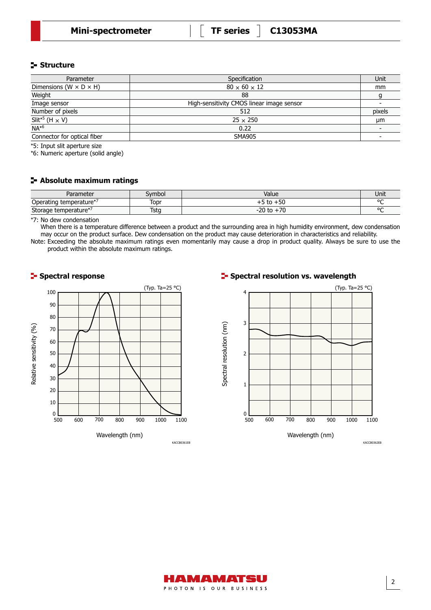## **Structure**

| Parameter                            | Specification                             | Unit   |
|--------------------------------------|-------------------------------------------|--------|
| Dimensions (W $\times$ D $\times$ H) | $80 \times 60 \times 12$                  | mm     |
| Weight                               | 88                                        |        |
| Image sensor                         | High-sensitivity CMOS linear image sensor |        |
| Number of pixels                     | 512                                       | pixels |
| $\overline{Slit^{*5}$ (H $\times$ V) | $25 \times 250$                           | µm     |
| $NA^{*6}$                            | 0.22                                      |        |
| Connector for optical fiber          | <b>SMA905</b>                             |        |

\*5: Input slit aperture size

\*6: Numeric aperture (solid angle)

### **Absolute maximum ratings**

| Parameter               | Symbol      | Value          | Unit    |
|-------------------------|-------------|----------------|---------|
| Operating temperature*′ | Topr        | $+50$<br>to    | $\sim$  |
| Storage temperature*    | <b>Tstg</b> | 70<br>$-20$ to | $\circ$ |

\*7: No dew condensation

When there is a temperature difference between a product and the surrounding area in high humidity environment, dew condensation may occur on the product surface. Dew condensation on the product may cause deterioration in characteristics and reliability. Note: Exceeding the absolute maximum ratings even momentarily may cause a drop in product quality. Always be sure to use the

product within the absolute maximum ratings.



## **Spectral response Spectral resolution vs. wavelength**



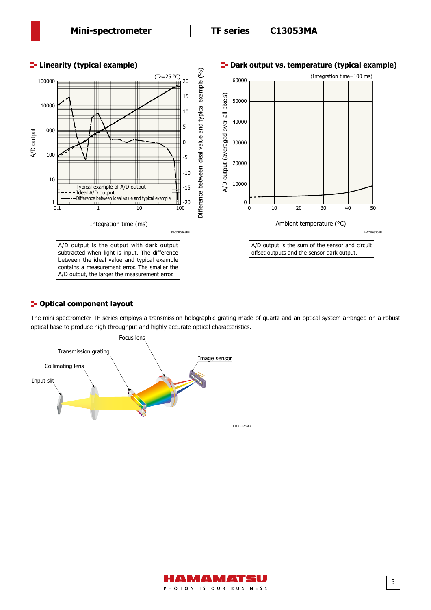

## **P**-Optical component layout

The mini-spectrometer TF series employs a transmission holographic grating made of quartz and an optical system arranged on a robust optical base to produce high throughput and highly accurate optical characteristics.



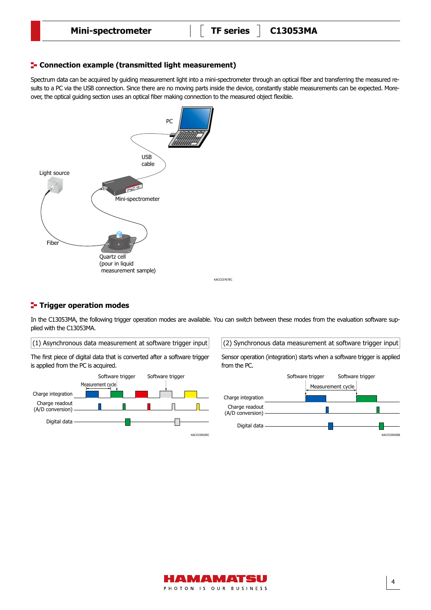## **E-** Connection example (transmitted light measurement)

Spectrum data can be acquired by guiding measurement light into a mini-spectrometer through an optical fiber and transferring the measured results to a PC via the USB connection. Since there are no moving parts inside the device, constantly stable measurements can be expected. Moreover, the optical guiding section uses an optical fiber making connection to the measured object flexible.



#### **T**- Trigger operation modes

In the C13053MA, the following trigger operation modes are available. You can switch between these modes from the evaluation software supplied with the C13053MA.

 $(1)$  Asynchronous data measurement at software trigger input  $(2)$  Synchronous data measurement at software trigger input

KACCC0767EC The first piece of digital data that is converted after a software trigger is applied from the PC is acquired.



Sensor operation (integration) starts when a software trigger is applied from the PC.



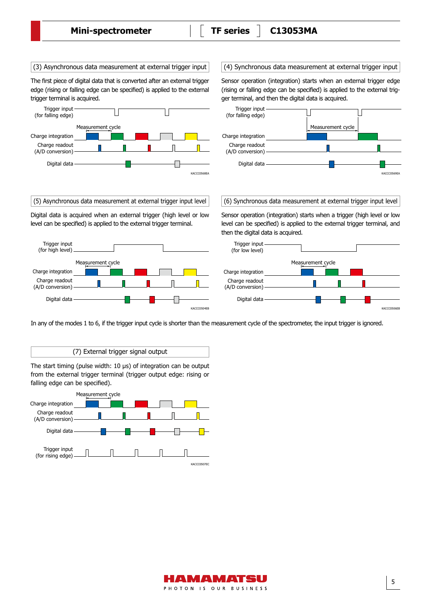The first piece of digital data that is converted after an external trigger edge (rising or falling edge can be specified) is applied to the external trigger terminal is acquired.



Digital data is acquired when an external trigger (high level or low level can be specified) is applied to the external trigger terminal.



(3) Asynchronous data measurement at external trigger input  $\|$  (4) Synchronous data measurement at external trigger input

Sensor operation (integration) starts when an external trigger edge (rising or falling edge can be specified) is applied to the external trigger terminal, and then the digital data is acquired.



(5) Asynchronous data measurement at external trigger input level (6) Synchronous data measurement at external trigger input level

Sensor operation (integration) starts when a trigger (high level or low level can be specified) is applied to the external trigger terminal, and then the digital data is acquired.



In any of the modes 1 to 6, if the trigger input cycle is shorter than the measurement cycle of the spectrometer, the input trigger is ignored.

(7) External trigger signal output

The start timing (pulse width: 10 μs) of integration can be output from the external trigger terminal (trigger output edge: rising or falling edge can be specified).



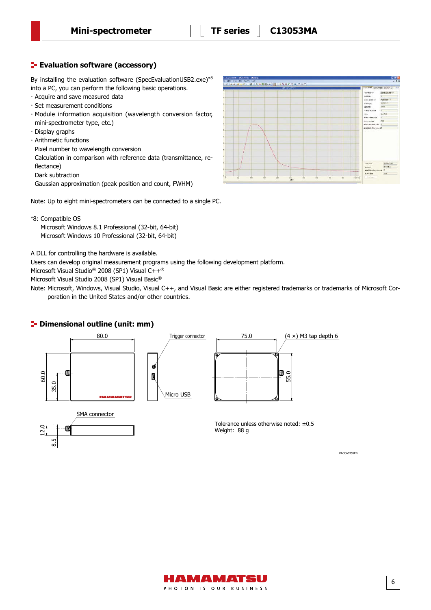# **E**- Evaluation software (accessory)

By installing the evaluation software (SpecEvaluationUSB2.exe)\*8 into a PC, you can perform the following basic operations.

- · Acquire and save measured data
- · Set measurement conditions
- · Module information acquisition (wavelength conversion factor, mini-spectrometer type, etc.)
- · Display graphs
- · Arithmetic functions
- Pixel number to wavelength conversion

Calculation in comparison with reference data (transmittance, reflectance)

Dark subtraction

Gaussian approximation (peak position and count, FWHM)

Note: Up to eight mini-spectrometers can be connected to a single PC.

\*8: Compatible OS

8.5

<u>ت</u><br>12

Microsoft Windows 8.1 Professional (32-bit, 64-bit) Microsoft Windows 10 Professional (32-bit, 64-bit)

A DLL for controlling the hardware is available.

Users can develop original measurement programs using the following development platform.

Microsoft Visual Studio® 2008 (SP1) Visual C++®

Microsoft Visual Studio 2008 (SP1) Visual Basic®

Note: Microsoft, Windows, Visual Studio, Visual C++, and Visual Basic are either registered trademarks or trademarks of Microsoft Corporation in the United States and/or other countries.

## **<sup>1</sup>** Dimensional outline (unit: mm)







Tolerance unless otherwise noted: ±0.5 Weight: 88 g



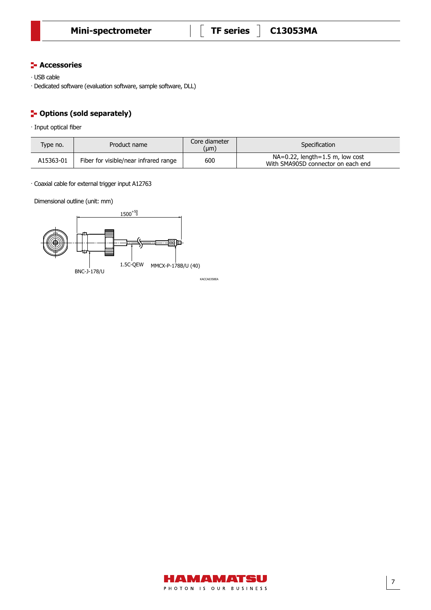## **F** Accessories

· USB cable

 $\cdot$  Dedicated software (evaluation software, sample software, DLL)

# **P**-Options (sold separately)

· Input optical fiber

| Type no.  | Product name                          | Core diameter<br>(µm) | Specification                                                            |
|-----------|---------------------------------------|-----------------------|--------------------------------------------------------------------------|
| A15363-01 | Fiber for visible/near infrared range | 600                   | $NA=0.22$ , length=1.5 m, low cost<br>With SMA905D connector on each end |

· Coaxial cable for external trigger input A12763

Dimensional outline (unit: mm)

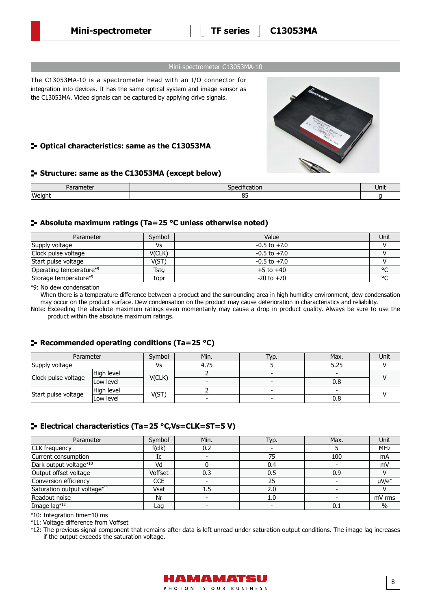**Mini-spectrometer TF series C13053MA**

#### Mini-spectrometer C13053MA-10

The C13053MA-10 is a spectrometer head with an I/O connector for integration into devices. It has the same optical system and image sensor as the C13053MA. Video signals can be captured by applying drive signals.

## **Optical characteristics: same as the C13053MA**

## **Structure: same as the C13053MA (except below)**

| $1 - u$<br>nete<br>ai ai<br>____ | . .<br>. JDP<br>ancauon | Unit |
|----------------------------------|-------------------------|------|
| Weight                           | $ -$<br>ັັ              |      |

### **Absolute maximum ratings (Ta=25 °C unless otherwise noted)**

| Parameter               | Symbol | Value            | Unit    |
|-------------------------|--------|------------------|---------|
| Supply voltage          | ٧s     | $-0.5$ to $+7.0$ |         |
| Clock pulse voltage     | V(CLK) | $-0.5$ to $+7.0$ |         |
| Start pulse voltage     | V(ST)  | $-0.5$ to $+7.0$ |         |
| Operating temperature*9 | Tsta   | $+5$ to $+40$    | $\circ$ |
| Storage temperature*9   | Topr   | $-20$ to $+70$   | $\sim$  |

\*9: No dew condensation

When there is a temperature difference between a product and the surrounding area in high humidity environment, dew condensation may occur on the product surface. Dew condensation on the product may cause deterioration in characteristics and reliability.

Note: Exceeding the absolute maximum ratings even momentarily may cause a drop in product quality. Always be sure to use the product within the absolute maximum ratings.

## **Recommended operating conditions (Ta=25 °C)**

| Parameter           |            | Symbol | Min. | Typ. | Max. | Unit |
|---------------------|------------|--------|------|------|------|------|
| Supply voltage      |            | Vs     | 4.75 |      | 5.25 |      |
| Clock pulse voltage | High level | V(CLK) |      |      | -    |      |
|                     | Low level  |        |      |      | 0.8  |      |
| Start pulse voltage | High level |        |      |      |      |      |
|                     | Low level  | V(ST)  |      |      | 0.8  |      |

## **Electrical characteristics (Ta=25 °C,Vs=CLK=ST=5 V)**

| Parameter                    | Symbol     | Min. | Typ. | Max. | Unit       |
|------------------------------|------------|------|------|------|------------|
| CLK frequency                | f(clk)     | 0.2  |      |      | <b>MHz</b> |
| Current consumption          | Ic         |      | 75   | 100  | mA         |
| Dark output voltage*10       | Vd         |      | 0.4  |      | mV         |
| Output offset voltage        | Voffset    | 0.3  | 0.5  | 0.9  |            |
| Conversion efficiency        | <b>CCE</b> |      | 25   |      | $\mu$ V/e  |
| Saturation output voltage*11 | Vsat       | 1.5  | 2.0  |      |            |
| Readout noise                | Nr         |      | 1.0  |      | mV rms     |
| Image lag*12                 | Laq        |      |      | 0.1  | $\%$       |

\*10: Integration time=10 ms

\*11: Voltage difference from Voffset

\*12: The previous signal component that remains after data is left unread under saturation output conditions. The image lag increases if the output exceeds the saturation voltage.

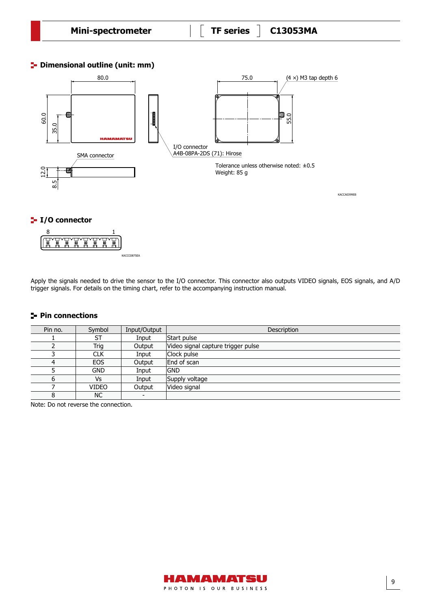**<sup>1</sup>** Dimensional outline (unit: mm)

Dimensional outline



Apply the signals needed to drive the sensor to the I/O connector. This connector also outputs VIDEO signals, EOS signals, and A/D trigger signals. For details on the timing chart, refer to the accompanying instruction manual.

## **Pin connections**

| Pin no. | Symbol       | Input/Output | Description                        |
|---------|--------------|--------------|------------------------------------|
|         | ST           | Input        | Start pulse                        |
|         | Trig         | Output       | Video signal capture trigger pulse |
|         | <b>CLK</b>   | Input        | Clock pulse                        |
| 4       | <b>EOS</b>   | Output       | End of scan                        |
|         | <b>GND</b>   | Input        | <b>GND</b>                         |
| 6       | Vs           | Input        | Supply voltage                     |
|         | <b>VIDEO</b> | Output       | Video signal                       |
| 8       | <b>NC</b>    |              |                                    |

Note: Do not reverse the connection.